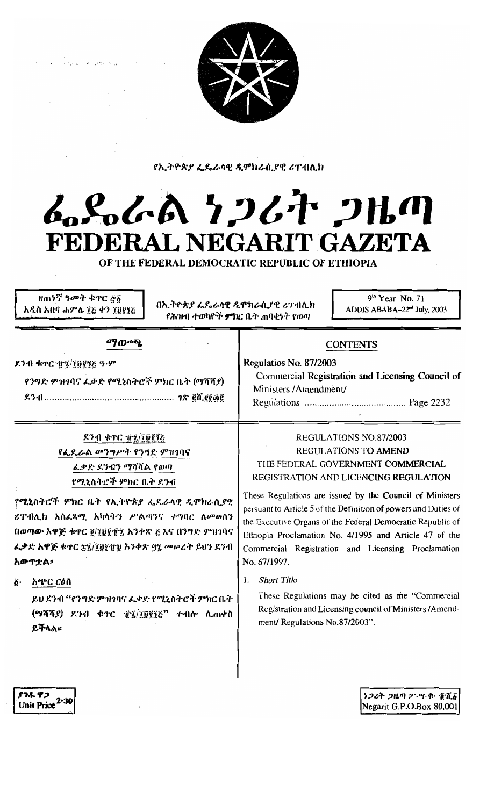

የኢትዮጵያ ፌዴራላዊ ዲሞክራሲያዊ ሪፐብሊክ

# んとんでん ケンムオ フルの FEDERAL NEGARIT GAZETA

OF THE FEDERAL DEMOCRATIC REPUBLIC OF ETHIOPIA

ዘጠነኛ ዓመት ቁጥር ፸፩ አዲስ አበባ ሐምሌ ፲፭ ቀን ፲፱፻፺፭

በኢትዮጵያ ፌዴራሳዊ ዲሞክራሲያዊ ሪፐብሊክ የሕዝብ ተወካዮች **ምክር ቤ**ት ጠባቂኑት የወጣ

9<sup>th</sup> Year No. 71 ADDIS ABABA-22<sup>nd</sup> July, 2003

| ማውጫ<br>.ንብ ቁዯር ተኗ/፲፱፻፺፩ ዓ·ም<br>የንግድ ምዝገባና ፈቃድ የሚኒስትሮች ምክር ቤት (ማሻሻያ)                                                                                                                       | <b>CONTENTS</b><br>Regulatios No. 87/2003<br>Commercial Registration and Licensing Council of<br>Ministers/Amendment/                                                                                                                                                                                                     |  |
|-------------------------------------------------------------------------------------------------------------------------------------------------------------------------------------------|---------------------------------------------------------------------------------------------------------------------------------------------------------------------------------------------------------------------------------------------------------------------------------------------------------------------------|--|
| ዶንብ ቁተር $\tilde{\pi}$ ፯/፲፱፻፺ራ<br>የፌዴራል መንግሥት የንግድ ምዝገባና<br>ፈቃድ ደንብን ማሻሻል የወጣ<br>የሚኒስትሮች ምክር ቤት ደንብ                                                                                        | REGULATIONS NO.87/2003<br>REGULATIONS TO AMEND<br>THE FEDERAL GOVERNMENT COMMERCIAL<br>REGISTRATION AND LICENCING REGULATION                                                                                                                                                                                              |  |
| ሚኔስትሮች ምክር ቤት የኢትዮጵያ ፌዴራላዊ ዲሞክራሲያዊ<br>ፐብሊክ አስሬጻሚ አካላትን ሥልጣንና ተግባር ለመወሰን<br>ወጣው አዋጅ ቁተር ፬/፲፱፻፹፯ አንቀጽ ፩ እና በንግድ ምዝገባና<br>.ቃድ አዋጅ ቁዋር <u>፳፯/፲፱፻</u> ፹፱ አንቀጽ <u>ማ፯ መሠረት ይ</u> ህን ደንብ<br>ሙዋቷል። | These Regulations are issued by the Council of Ministers<br>persuant to Article 5 of the Definition of powers and Duties of<br>the Executive Organs of the Federal Democratic Republic of<br>Ethiopia Proclamation No. 4/1995 and Article 47 of the<br>Commercial Registration and Licensing Proclamation<br>No. 67/1997. |  |

አጭር ርዕስ

ያንዱ ዋጋ

Unit Price<sup>2.30</sup>

 $\mathbf{I}$ 

ይህ ደንብ "የንግድ ምዝንባና ፌቃድ የሚኒስትሮች ምክር ቤት (ማሻሻያ) ደንብ ቁተር ፹፯/፲፱፻፺፫" ተብሎ ሲጠቀስ ይችላል።

#### 1. **Short Title**

These Regulations may be cited as the "Commercial Registration and Licensing council of Ministers/Amendment/ Regulations No.87/2003".

> ነጋሪት ጋዜጣ ፖ ሣ ቁ - ፹ሺ፩ Negarit G.P.O.Box 80,001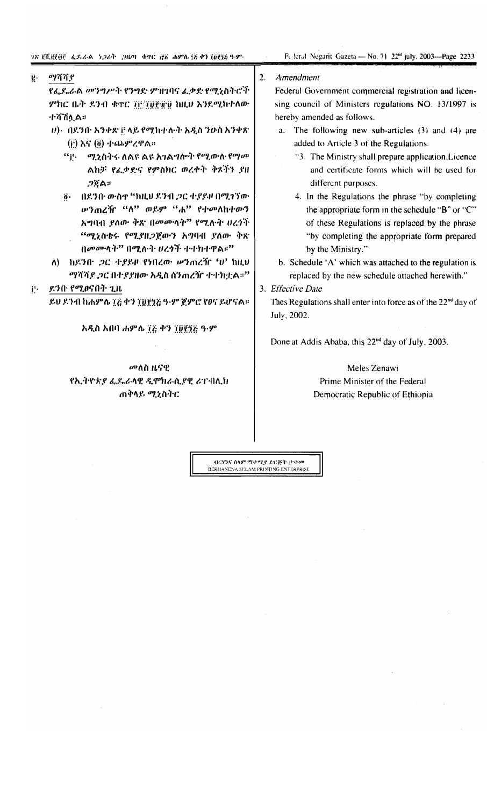Feleral Negarit Gazeta - No. 71 22<sup>nd</sup> july, 2003-Page 2233

#### ማሻሻያ ġ.

የፌዴራል መንግሥት የንግድ ምዝገባና ፌቃድ የሚኒስትሮች ምክር ቤት ዶንብ ቁዋር ፲፫/፲፱፻፹፱ ከዚህ እንደሚከተለው ተሻሽሏል።

- $\ket{v}$ · በደንቡ አንቀጽ ፫ ላይ የሚከተሉት አዲስ ንውስ አንቀጽ  $(i)$  እና  $(i)$  ተጨምረዋል።
	- $``$ ij $\cdot$  ሚኒስትሩ ለልዩ ልዩ አገልግሎት የሚወሉ የማመ ልከቻ የፌቃድና የምስክር ወረቀት ቅጾችን ያዘ ጋጀል።
	- ö በደንበ· ውስተ "ከዚሀ ደንብ ጋር ተያይዞ በሚገኘው ሥንጠረዥ "ለ" ወይም "ሐ" የተመለከተውን አግባብ ያለው ቅጽ በመሙላት" የሚሉት ሀረጎች "ሚኒስቴሩ የሚያዘጋጀውን አግባብ ያለው ቅጽ በመመሳት" በሚሉት ሀረጎች ተተክተዋል።"
- $\Lambda$ ) ከደንቡ *ጋር ተያይዞ የነበረው ሠን*ጠረዥ ' $v$ ' ከዚህ *ማሻሻያ ጋ*ር በተያያዘው አዲስ ሰንጠረዥ ተተክቷል።"
- ደንበ የሚፀናበት ጊዜ  $i^*$

ይህ ደንብ ከሐምሴ ፲፭ ቀን ፲፱፻፺፭ ዓ-ም ጀምሮ የፀና ይሆናል።

### አዲስ አበባ ሐምሌ ፲፭ ቀን ፲፱፻፺፭ ዓ-ም

መለስ ዜናዊ የኢትዮጵያ ፌዴራላዊ ዲሞክራሲያዊ ሪፐብሊክ ጠቅሳይ ሚኒስትር

#### $\overline{2}$ . Amendment

Federal Government commercial registration and licensing council of Ministers regulations NO. 13/1997 is hereby amended as follows.

- a. The following new sub-articles (3) and (4) are added to Article 3 of the Regulations.
	- "3. The Ministry shall prepare application, Licence and certificate forms which will be used for different purposes.
	- 4. In the Regulations the phrase "by completing the appropriate form in the schedule "B" or "C" of these Regulations is replaced by the phrase "by completing the appropriate form prepared by the Ministry."
- b. Schedule 'A' which was attached to the regulation is replaced by the new schedule attached herewith."

### 3. Effective Date

Thes Regulations shall enter into force as of the 22<sup>nd</sup> day of July, 2002.

Done at Addis Ababa, this 22<sup>nd</sup> day of July, 2003.

## Meles Zenawi Prime Minister of the Federal Democratic Republic of Ethiopia

ብርሃንና ሰላም ማተሚያ ድርጅት ታተወ BERHANENA SELAM PRINTING ENTERPRISE